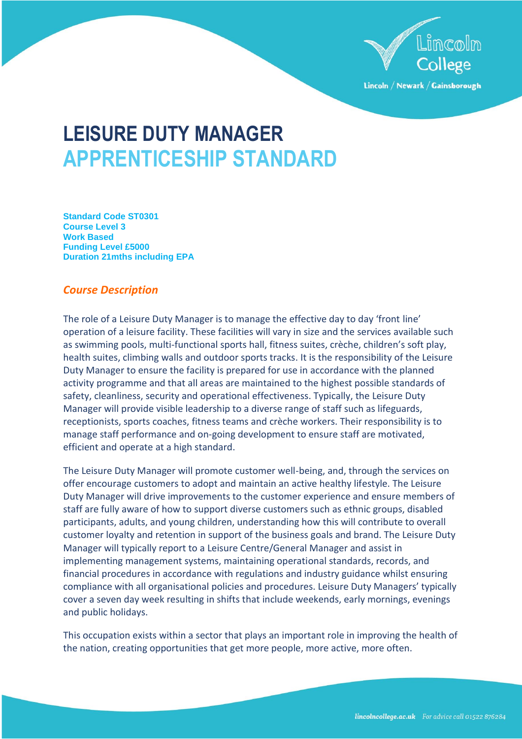

Lincoln / Newark / Gainsborough

# **LEISURE DUTY MANAGER APPRENTICESHIP STANDARD**

**Standard Code ST0301 Course Level 3 Work Based Funding Level £5000 Duration 21mths including EPA**

# *Course Description*

The role of a Leisure Duty Manager is to manage the effective day to day 'front line' operation of a leisure facility. These facilities will vary in size and the services available such as swimming pools, multi-functional sports hall, fitness suites, crèche, children's soft play, health suites, climbing walls and outdoor sports tracks. It is the responsibility of the Leisure Duty Manager to ensure the facility is prepared for use in accordance with the planned activity programme and that all areas are maintained to the highest possible standards of safety, cleanliness, security and operational effectiveness. Typically, the Leisure Duty Manager will provide visible leadership to a diverse range of staff such as lifeguards, receptionists, sports coaches, fitness teams and crèche workers. Their responsibility is to manage staff performance and on-going development to ensure staff are motivated, efficient and operate at a high standard.

The Leisure Duty Manager will promote customer well-being, and, through the services on offer encourage customers to adopt and maintain an active healthy lifestyle. The Leisure Duty Manager will drive improvements to the customer experience and ensure members of staff are fully aware of how to support diverse customers such as ethnic groups, disabled participants, adults, and young children, understanding how this will contribute to overall customer loyalty and retention in support of the business goals and brand. The Leisure Duty Manager will typically report to a Leisure Centre/General Manager and assist in implementing management systems, maintaining operational standards, records, and financial procedures in accordance with regulations and industry guidance whilst ensuring compliance with all organisational policies and procedures. Leisure Duty Managers' typically cover a seven day week resulting in shifts that include weekends, early mornings, evenings and public holidays.

This occupation exists within a sector that plays an important role in improving the health of the nation, creating opportunities that get more people, more active, more often.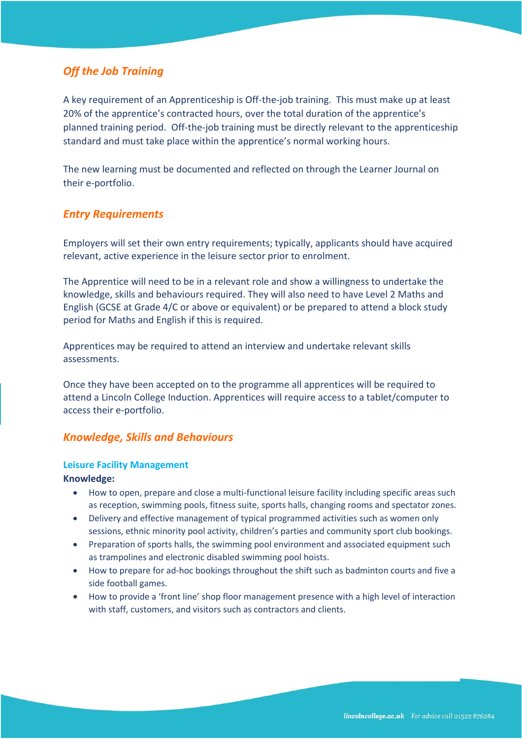# *Off the Job Training*

A key requirement of an Apprenticeship is Off-the-job training. This must make up at least 20% of the apprentice's contracted hours, over the total duration of the apprentice's planned training period. Off-the-job training must be directly relevant to the apprenticeship standard and must take place within the apprentice's normal working hours.

The new learning must be documented and reflected on through the Learner Journal on their e-portfolio.

# *Entry Requirements*

Employers will set their own entry requirements; typically, applicants should have acquired relevant, active experience in the leisure sector prior to enrolment.

The Apprentice will need to be in a relevant role and show a willingness to undertake the knowledge, skills and behaviours required. They will also need to have Level 2 Maths and English (GCSE at Grade 4/C or above or equivalent) or be prepared to attend a block study period for Maths and English if this is required.

Apprentices may be required to attend an interview and undertake relevant skills assessments.

Once they have been accepted on to the programme all apprentices will be required to attend a Lincoln College Induction. Apprentices will require access to a tablet/computer to access their e-portfolio.

# *Knowledge, Skills and Behaviours*

#### **Leisure Facility Management**

**Knowledge:**

- How to open, prepare and close a multi-functional leisure facility including specific areas such as reception, swimming pools, fitness suite, sports halls, changing rooms and spectator zones.
- Delivery and effective management of typical programmed activities such as women only sessions, ethnic minority pool activity, children's parties and community sport club bookings.
- Preparation of sports halls, the swimming pool environment and associated equipment such as trampolines and electronic disabled swimming pool hoists.
- How to prepare for ad-hoc bookings throughout the shift such as badminton courts and five a side football games.
- How to provide a 'front line' shop floor management presence with a high level of interaction with staff, customers, and visitors such as contractors and clients.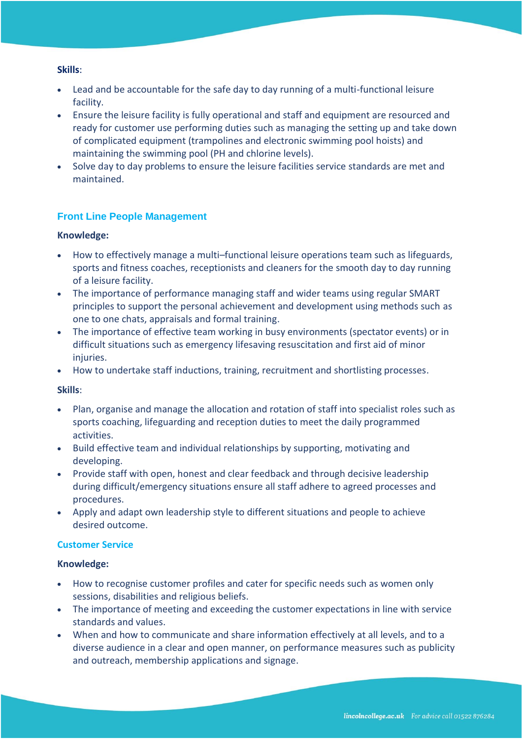### **Skills**:

- Lead and be accountable for the safe day to day running of a multi-functional leisure facility.
- Ensure the leisure facility is fully operational and staff and equipment are resourced and ready for customer use performing duties such as managing the setting up and take down of complicated equipment (trampolines and electronic swimming pool hoists) and maintaining the swimming pool (PH and chlorine levels).
- Solve day to day problems to ensure the leisure facilities service standards are met and maintained.

# **Front Line People Management**

### **Knowledge:**

- How to effectively manage a multi–functional leisure operations team such as lifeguards, sports and fitness coaches, receptionists and cleaners for the smooth day to day running of a leisure facility.
- The importance of performance managing staff and wider teams using regular SMART principles to support the personal achievement and development using methods such as one to one chats, appraisals and formal training.
- The importance of effective team working in busy environments (spectator events) or in difficult situations such as emergency lifesaving resuscitation and first aid of minor injuries.
- How to undertake staff inductions, training, recruitment and shortlisting processes.

#### **Skills**:

- Plan, organise and manage the allocation and rotation of staff into specialist roles such as sports coaching, lifeguarding and reception duties to meet the daily programmed activities.
- Build effective team and individual relationships by supporting, motivating and developing.
- Provide staff with open, honest and clear feedback and through decisive leadership during difficult/emergency situations ensure all staff adhere to agreed processes and procedures.
- Apply and adapt own leadership style to different situations and people to achieve desired outcome.

#### **Customer Service**

#### **Knowledge:**

- How to recognise customer profiles and cater for specific needs such as women only sessions, disabilities and religious beliefs.
- The importance of meeting and exceeding the customer expectations in line with service standards and values.
- When and how to communicate and share information effectively at all levels, and to a diverse audience in a clear and open manner, on performance measures such as publicity and outreach, membership applications and signage.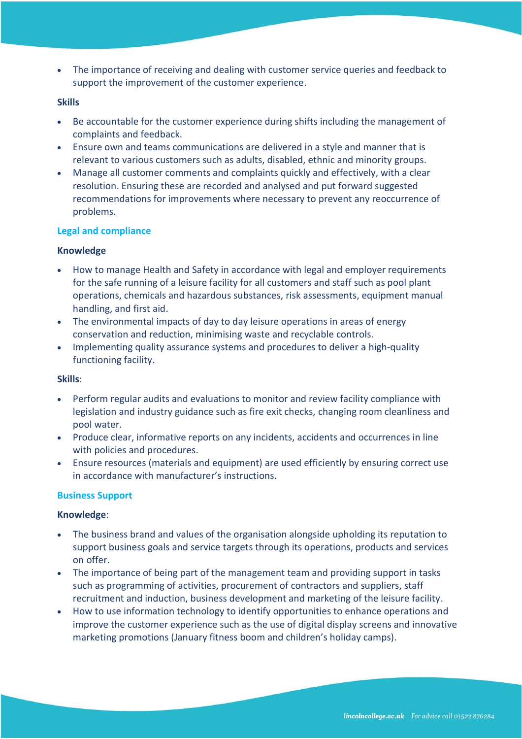• The importance of receiving and dealing with customer service queries and feedback to support the improvement of the customer experience.

## **Skills**

- Be accountable for the customer experience during shifts including the management of complaints and feedback.
- Ensure own and teams communications are delivered in a style and manner that is relevant to various customers such as adults, disabled, ethnic and minority groups.
- Manage all customer comments and complaints quickly and effectively, with a clear resolution. Ensuring these are recorded and analysed and put forward suggested recommendations for improvements where necessary to prevent any reoccurrence of problems.

# **Legal and compliance**

### **Knowledge**

- How to manage Health and Safety in accordance with legal and employer requirements for the safe running of a leisure facility for all customers and staff such as pool plant operations, chemicals and hazardous substances, risk assessments, equipment manual handling, and first aid.
- The environmental impacts of day to day leisure operations in areas of energy conservation and reduction, minimising waste and recyclable controls.
- Implementing quality assurance systems and procedures to deliver a high-quality functioning facility.

# **Skills**:

- Perform regular audits and evaluations to monitor and review facility compliance with legislation and industry guidance such as fire exit checks, changing room cleanliness and pool water.
- Produce clear, informative reports on any incidents, accidents and occurrences in line with policies and procedures.
- Ensure resources (materials and equipment) are used efficiently by ensuring correct use in accordance with manufacturer's instructions.

# **Business Support**

# **Knowledge**:

- The business brand and values of the organisation alongside upholding its reputation to support business goals and service targets through its operations, products and services on offer.
- The importance of being part of the management team and providing support in tasks such as programming of activities, procurement of contractors and suppliers, staff recruitment and induction, business development and marketing of the leisure facility.
- How to use information technology to identify opportunities to enhance operations and improve the customer experience such as the use of digital display screens and innovative marketing promotions (January fitness boom and children's holiday camps).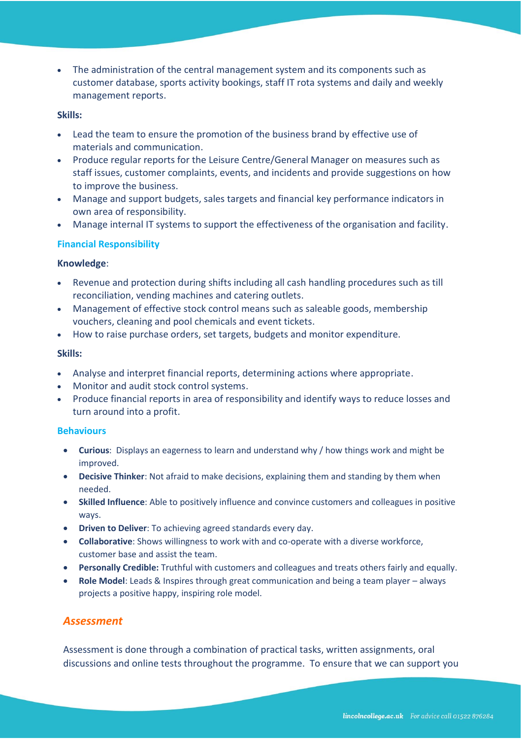• The administration of the central management system and its components such as customer database, sports activity bookings, staff IT rota systems and daily and weekly management reports.

#### **Skills:**

- Lead the team to ensure the promotion of the business brand by effective use of materials and communication.
- Produce regular reports for the Leisure Centre/General Manager on measures such as staff issues, customer complaints, events, and incidents and provide suggestions on how to improve the business.
- Manage and support budgets, sales targets and financial key performance indicators in own area of responsibility.
- Manage internal IT systems to support the effectiveness of the organisation and facility.

# **Financial Responsibility**

### **Knowledge**:

- Revenue and protection during shifts including all cash handling procedures such as till reconciliation, vending machines and catering outlets.
- Management of effective stock control means such as saleable goods, membership vouchers, cleaning and pool chemicals and event tickets.
- How to raise purchase orders, set targets, budgets and monitor expenditure.

### **Skills:**

- Analyse and interpret financial reports, determining actions where appropriate.
- Monitor and audit stock control systems.
- Produce financial reports in area of responsibility and identify ways to reduce losses and turn around into a profit.

#### **Behaviours**

- **Curious**: Displays an eagerness to learn and understand why / how things work and might be improved.
- **Decisive Thinker**: Not afraid to make decisions, explaining them and standing by them when needed.
- **Skilled Influence**: Able to positively influence and convince customers and colleagues in positive ways.
- **Driven to Deliver**: To achieving agreed standards every day.
- **Collaborative**: Shows willingness to work with and co-operate with a diverse workforce, customer base and assist the team.
- **Personally Credible:** Truthful with customers and colleagues and treats others fairly and equally.
- **Role Model**: Leads & Inspires through great communication and being a team player always projects a positive happy, inspiring role model.

# *Assessment*

Assessment is done through a combination of practical tasks, written assignments, oral discussions and online tests throughout the programme. To ensure that we can support you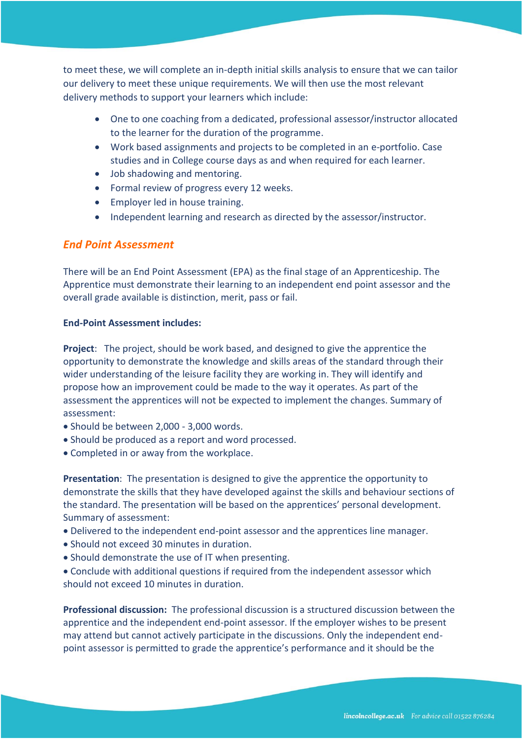to meet these, we will complete an in-depth initial skills analysis to ensure that we can tailor our delivery to meet these unique requirements. We will then use the most relevant delivery methods to support your learners which include:

- One to one coaching from a dedicated, professional assessor/instructor allocated to the learner for the duration of the programme.
- Work based assignments and projects to be completed in an e-portfolio. Case studies and in College course days as and when required for each learner.
- Job shadowing and mentoring.
- Formal review of progress every 12 weeks.
- Employer led in house training.
- Independent learning and research as directed by the assessor/instructor.

# *End Point Assessment*

There will be an End Point Assessment (EPA) as the final stage of an Apprenticeship. The Apprentice must demonstrate their learning to an independent end point assessor and the overall grade available is distinction, merit, pass or fail.

# **End-Point Assessment includes:**

**Project**: The project, should be work based, and designed to give the apprentice the opportunity to demonstrate the knowledge and skills areas of the standard through their wider understanding of the leisure facility they are working in. They will identify and propose how an improvement could be made to the way it operates. As part of the assessment the apprentices will not be expected to implement the changes. Summary of assessment:

- Should be between 2,000 3,000 words.
- Should be produced as a report and word processed.
- Completed in or away from the workplace.

**Presentation**: The presentation is designed to give the apprentice the opportunity to demonstrate the skills that they have developed against the skills and behaviour sections of the standard. The presentation will be based on the apprentices' personal development. Summary of assessment:

- Delivered to the independent end-point assessor and the apprentices line manager.
- Should not exceed 30 minutes in duration.
- Should demonstrate the use of IT when presenting.
- Conclude with additional questions if required from the independent assessor which should not exceed 10 minutes in duration.

**Professional discussion:** The professional discussion is a structured discussion between the apprentice and the independent end-point assessor. If the employer wishes to be present may attend but cannot actively participate in the discussions. Only the independent endpoint assessor is permitted to grade the apprentice's performance and it should be the